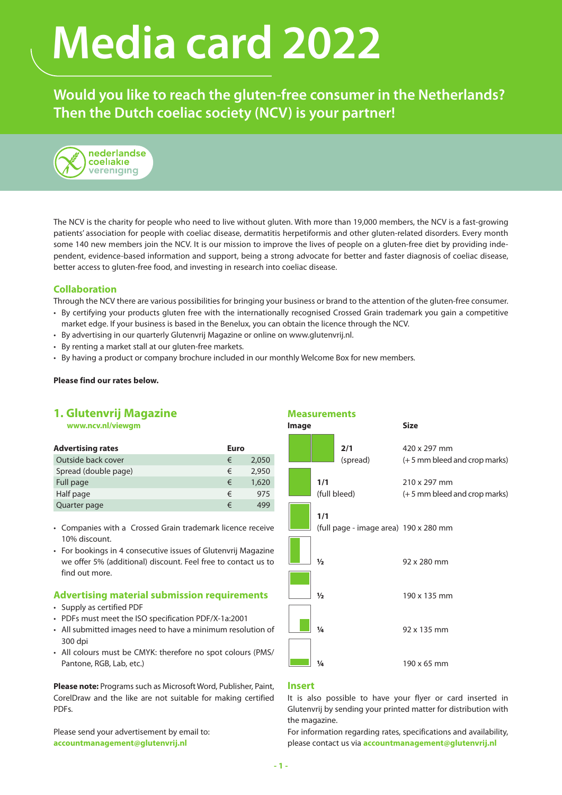# **Media card 2022**

**Would you like to reach the gluten-free consumer in the Netherlands? Then the Dutch coeliac society (NCV) is your partner!**



The NCV is the charity for people who need to live without gluten. With more than 19,000 members, the NCV is a fast-growing patients' association for people with coeliac disease, dermatitis herpetiformis and other gluten-related disorders. Every month some 140 new members join the NCV. It is our mission to improve the lives of people on a gluten-free diet by providing independent, evidence-based information and support, being a strong advocate for better and faster diagnosis of coeliac disease, better access to gluten-free food, and investing in research into coeliac disease.

# **Collaboration**

Through the NCV there are various possibilities for bringing your business or brand to the attention of the gluten-free consumer.

- By certifying your products gluten free with the internationally recognised Crossed Grain trademark you gain a competitive market edge. If your business is based in the Benelux, you can obtain the licence through the NCV.
- By advertising in our quarterly Glutenvrij Magazine or online on www.glutenvrij.nl.
- By renting a market stall at our gluten-free markets.
- By having a product or company brochure included in our monthly Welcome Box for new members.

#### **Please find our rates below.**

# **1. Glutenvrij Magazine**

**[www.ncv.nl/viewgm](http://www.ncv.nl/viewgm)**

| <b>Advertising rates</b> | Euro |       |
|--------------------------|------|-------|
| Outside back cover       | €    | 2.050 |
| Spread (double page)     | €    | 2.950 |
| Full page                | €    | 1,620 |
| Half page                | €    | 975   |
| Quarter page             | €    | 499   |

- Companies with a Crossed Grain trademark licence receive 10% discount.
- For bookings in 4 consecutive issues of Glutenvrij Magazine we offer 5% (additional) discount. Feel free to contact us to find out more.

#### **Advertising material submission requirements**

- Supply as certified PDF
- PDFs must meet the ISO specification PDF/X-1a:2001
- All submitted images need to have a minimum resolution of 300 dpi
- All colours must be CMYK: therefore no spot colours (PMS/ Pantone, RGB, Lab, etc.)

**Please note:** Programs such as Microsoft Word, Publisher, Paint, CorelDraw and the like are not suitable for making certified PDFs.

Please send your advertisement by email to: **[accountmanagement@glutenvrij.nl](mailto:accountmanagement%40glutenvrij.nl?subject=)**



### **Insert**

It is also possible to have your flyer or card inserted in Glutenvrij by sending your printed matter for distribution with the magazine.

For information regarding rates, specifications and availability, please contact us via **accountmanagement@glutenvrij.nl**